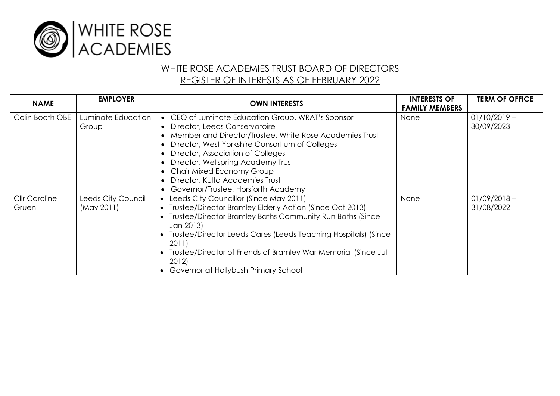

## WHITE ROSE ACADEMIES TRUST BOARD OF DIRECTORS REGISTER OF INTERESTS AS OF FEBRUARY 2022

| <b>NAME</b>          | <b>EMPLOYER</b>    | <b>OWN INTERESTS</b>                                             | <b>INTERESTS OF</b><br><b>FAMILY MEMBERS</b> | <b>TERM OF OFFICE</b> |
|----------------------|--------------------|------------------------------------------------------------------|----------------------------------------------|-----------------------|
| Colin Booth OBE      | Luminate Education | • CEO of Luminate Education Group, WRAT's Sponsor                | None                                         | $01/10/2019 -$        |
|                      | Group              | Director, Leeds Conservatoire                                    |                                              | 30/09/2023            |
|                      |                    | Member and Director/Trustee, White Rose Academies Trust          |                                              |                       |
|                      |                    | Director, West Yorkshire Consortium of Colleges                  |                                              |                       |
|                      |                    | Director, Association of Colleges                                |                                              |                       |
|                      |                    | Director, Wellspring Academy Trust                               |                                              |                       |
|                      |                    | Chair Mixed Economy Group                                        |                                              |                       |
|                      |                    | Director, Kulta Academies Trust                                  |                                              |                       |
|                      |                    | Governor/Trustee, Horsforth Academy                              |                                              |                       |
| <b>Cllr Caroline</b> | Leeds City Council | • Leeds City Councillor (Since May 2011)                         | None                                         | $01/09/2018 -$        |
| Gruen                | (May 2011)         | • Trustee/Director Bramley Elderly Action (Since Oct 2013)       |                                              | 31/08/2022            |
|                      |                    | Trustee/Director Bramley Baths Community Run Baths (Since        |                                              |                       |
|                      |                    | Jan 2013)                                                        |                                              |                       |
|                      |                    | • Trustee/Director Leeds Cares (Leeds Teaching Hospitals) (Since |                                              |                       |
|                      |                    | 2011)                                                            |                                              |                       |
|                      |                    | • Trustee/Director of Friends of Bramley War Memorial (Since Jul |                                              |                       |
|                      |                    | 2012)                                                            |                                              |                       |
|                      |                    | Governor at Hollybush Primary School                             |                                              |                       |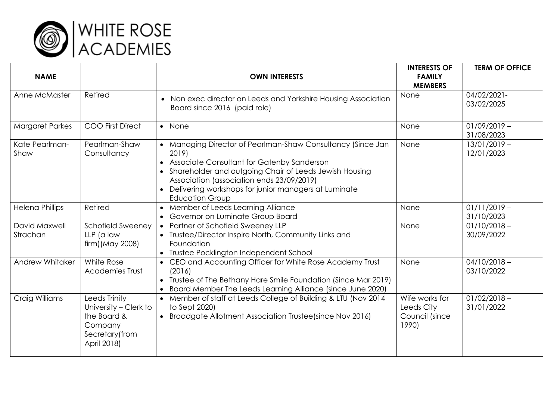

| <b>NAME</b>               |                                                                                                    | <b>OWN INTERESTS</b>                                                                                                                                                                                                                                                                                      | <b>INTERESTS OF</b><br><b>FAMILY</b><br><b>MEMBERS</b>  | <b>TERM OF OFFICE</b>        |
|---------------------------|----------------------------------------------------------------------------------------------------|-----------------------------------------------------------------------------------------------------------------------------------------------------------------------------------------------------------------------------------------------------------------------------------------------------------|---------------------------------------------------------|------------------------------|
| Anne McMaster             | Retired                                                                                            | • Non exec director on Leeds and Yorkshire Housing Association<br>Board since 2016 (paid role)                                                                                                                                                                                                            | None                                                    | 04/02/2021-<br>03/02/2025    |
| <b>Margaret Parkes</b>    | <b>COO First Direct</b>                                                                            | • None                                                                                                                                                                                                                                                                                                    | None                                                    | $01/09/2019 -$<br>31/08/2023 |
| Kate Pearlman-<br>Shaw    | Pearlman-Shaw<br>Consultancy                                                                       | Managing Director of Pearlman-Shaw Consultancy (Since Jan<br>2019)<br>Associate Consultant for Gatenby Sanderson<br>Shareholder and outgoing Chair of Leeds Jewish Housing<br>Association (association ends 23/09/2019)<br>Delivering workshops for junior managers at Luminate<br><b>Education Group</b> | None                                                    | $13/01/2019 -$<br>12/01/2023 |
| <b>Helena Phillips</b>    | Retired                                                                                            | Member of Leeds Learning Alliance<br>Governor on Luminate Group Board                                                                                                                                                                                                                                     | None                                                    | $01/11/2019 -$<br>31/10/2023 |
| David Maxwell<br>Strachan | Schofield Sweeney<br>LLP (a law<br>firm) (May 2008)                                                | • Partner of Schofield Sweeney LLP<br>• Trustee/Director Inspire North, Community Links and<br>Foundation<br>• Trustee Pocklington Independent School                                                                                                                                                     | None                                                    | $01/10/2018 -$<br>30/09/2022 |
| Andrew Whitaker           | White Rose<br><b>Academies Trust</b>                                                               | • CEO and Accounting Officer for White Rose Academy Trust<br>(2016)<br>Trustee of The Bethany Hare Smile Foundation (Since Mar 2019)<br>Board Member The Leeds Learning Alliance (since June 2020)                                                                                                        | None                                                    | $04/10/2018 -$<br>03/10/2022 |
| Craig Williams            | Leeds Trinity<br>University - Clerk to<br>the Board &<br>Company<br>Secretary (from<br>April 2018) | Member of staff at Leeds College of Building & LTU (Nov 2014<br>to Sept 2020)<br>Broadgate Allotment Association Trustee (since Nov 2016)<br>$\bullet$                                                                                                                                                    | Wife works for<br>Leeds City<br>Council (since<br>1990) | $01/02/2018 -$<br>31/01/2022 |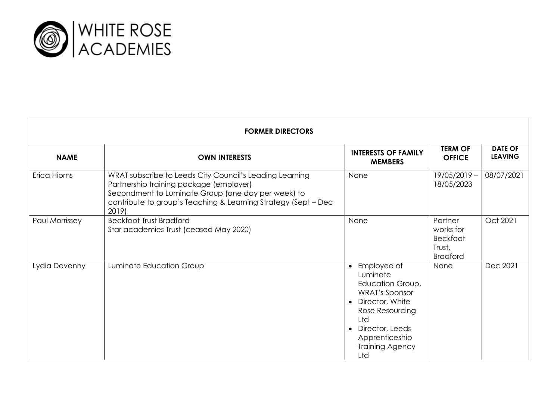

| <b>FORMER DIRECTORS</b> |                                                                                                                                                                                                                                     |                                                                                                                                                                                                                         |                                                                      |                                  |  |  |
|-------------------------|-------------------------------------------------------------------------------------------------------------------------------------------------------------------------------------------------------------------------------------|-------------------------------------------------------------------------------------------------------------------------------------------------------------------------------------------------------------------------|----------------------------------------------------------------------|----------------------------------|--|--|
| <b>NAME</b>             | <b>OWN INTERESTS</b>                                                                                                                                                                                                                | <b>INTERESTS OF FAMILY</b><br><b>MEMBERS</b>                                                                                                                                                                            | <b>TERM OF</b><br><b>OFFICE</b>                                      | <b>DATE OF</b><br><b>LEAVING</b> |  |  |
| Erica Hiorns            | WRAT subscribe to Leeds City Council's Leading Learning<br>Partnership training package (employer)<br>Secondment to Luminate Group (one day per week) to<br>contribute to group's Teaching & Learning Strategy (Sept - Dec<br>2019) | None                                                                                                                                                                                                                    | $19/05/2019 -$<br>18/05/2023                                         | 08/07/2021                       |  |  |
| Paul Morrissey          | <b>Beckfoot Trust Bradford</b><br>Star academies Trust (ceased May 2020)                                                                                                                                                            | None                                                                                                                                                                                                                    | Partner<br>works for<br><b>Beckfoot</b><br>Trust,<br><b>Bradford</b> | Oct 2021                         |  |  |
| Lydia Devenny           | Luminate Education Group                                                                                                                                                                                                            | Employee of<br>$\bullet$<br>Luminate<br>Education Group,<br><b>WRAT's Sponsor</b><br>Director, White<br>$\bullet$<br>Rose Resourcing<br>Ltd<br>Director, Leeds<br>$\bullet$<br>Apprenticeship<br>Training Agency<br>Ltd | None                                                                 | Dec 2021                         |  |  |